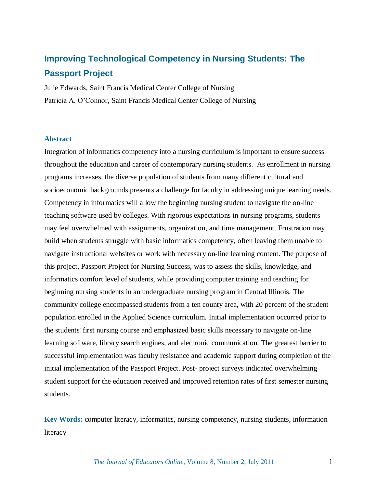# **Improving Technological Competency in Nursing Students: The Passport Project**

Julie Edwards, Saint Francis Medical Center College of Nursing Patricia A. O"Connor, Saint Francis Medical Center College of Nursing

# **Abstract**

Integration of informatics competency into a nursing curriculum is important to ensure success throughout the education and career of contemporary nursing students. As enrollment in nursing programs increases, the diverse population of students from many different cultural and socioeconomic backgrounds presents a challenge for faculty in addressing unique learning needs. Competency in informatics will allow the beginning nursing student to navigate the on-line teaching software used by colleges. With rigorous expectations in nursing programs, students may feel overwhelmed with assignments, organization, and time management. Frustration may build when students struggle with basic informatics competency, often leaving them unable to navigate instructional websites or work with necessary on-line learning content. The purpose of this project, Passport Project for Nursing Success, was to assess the skills, knowledge, and informatics comfort level of students, while providing computer training and teaching for beginning nursing students in an undergraduate nursing program in Central Illinois. The community college encompassed students from a ten county area, with 20 percent of the student population enrolled in the Applied Science curriculum. Initial implementation occurred prior to the students' first nursing course and emphasized basic skills necessary to navigate on-line learning software, library search engines, and electronic communication. The greatest barrier to successful implementation was faculty resistance and academic support during completion of the initial implementation of the Passport Project. Post- project surveys indicated overwhelming student support for the education received and improved retention rates of first semester nursing students.

**Key Words:** computer literacy, informatics, nursing competency, nursing students, information literacy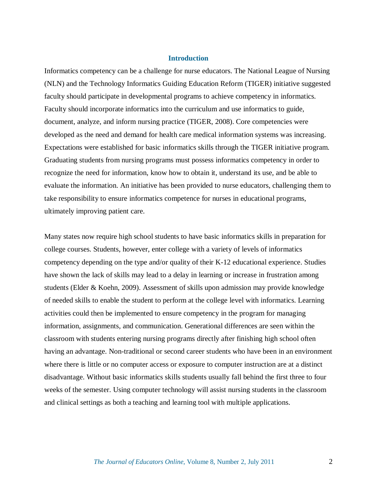# **Introduction**

Informatics competency can be a challenge for nurse educators. The National League of Nursing (NLN) and the Technology Informatics Guiding Education Reform (TIGER) initiative suggested faculty should participate in developmental programs to achieve competency in informatics. Faculty should incorporate informatics into the curriculum and use informatics to guide, document, analyze, and inform nursing practice (TIGER, 2008). Core competencies were developed as the need and demand for health care medical information systems was increasing. Expectations were established for basic informatics skills through the TIGER initiative program. Graduating students from nursing programs must possess informatics competency in order to recognize the need for information, know how to obtain it, understand its use, and be able to evaluate the information. An initiative has been provided to nurse educators, challenging them to take responsibility to ensure informatics competence for nurses in educational programs, ultimately improving patient care.

Many states now require high school students to have basic informatics skills in preparation for college courses. Students, however, enter college with a variety of levels of informatics competency depending on the type and/or quality of their K-12 educational experience. Studies have shown the lack of skills may lead to a delay in learning or increase in frustration among students (Elder & Koehn, 2009). Assessment of skills upon admission may provide knowledge of needed skills to enable the student to perform at the college level with informatics. Learning activities could then be implemented to ensure competency in the program for managing information, assignments, and communication. Generational differences are seen within the classroom with students entering nursing programs directly after finishing high school often having an advantage. Non-traditional or second career students who have been in an environment where there is little or no computer access or exposure to computer instruction are at a distinct disadvantage. Without basic informatics skills students usually fall behind the first three to four weeks of the semester. Using computer technology will assist nursing students in the classroom and clinical settings as both a teaching and learning tool with multiple applications.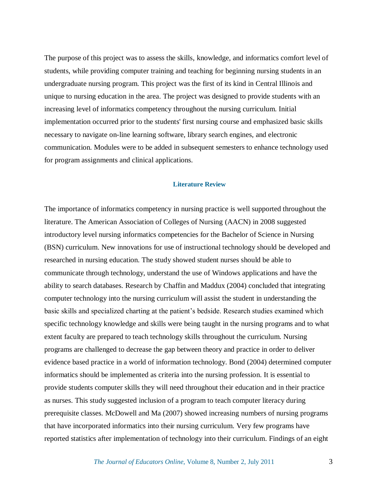The purpose of this project was to assess the skills, knowledge, and informatics comfort level of students, while providing computer training and teaching for beginning nursing students in an undergraduate nursing program. This project was the first of its kind in Central Illinois and unique to nursing education in the area. The project was designed to provide students with an increasing level of informatics competency throughout the nursing curriculum. Initial implementation occurred prior to the students' first nursing course and emphasized basic skills necessary to navigate on-line learning software, library search engines, and electronic communication. Modules were to be added in subsequent semesters to enhance technology used for program assignments and clinical applications.

## **Literature Review**

The importance of informatics competency in nursing practice is well supported throughout the literature. The American Association of Colleges of Nursing (AACN) in 2008 suggested introductory level nursing informatics competencies for the Bachelor of Science in Nursing (BSN) curriculum. New innovations for use of instructional technology should be developed and researched in nursing education. The study showed student nurses should be able to communicate through technology, understand the use of Windows applications and have the ability to search databases. Research by Chaffin and Maddux (2004) concluded that integrating computer technology into the nursing curriculum will assist the student in understanding the basic skills and specialized charting at the patient's bedside. Research studies examined which specific technology knowledge and skills were being taught in the nursing programs and to what extent faculty are prepared to teach technology skills throughout the curriculum. Nursing programs are challenged to decrease the gap between theory and practice in order to deliver evidence based practice in a world of information technology. Bond (2004) determined computer informatics should be implemented as criteria into the nursing profession. It is essential to provide students computer skills they will need throughout their education and in their practice as nurses. This study suggested inclusion of a program to teach computer literacy during prerequisite classes. McDowell and Ma (2007) showed increasing numbers of nursing programs that have incorporated informatics into their nursing curriculum. Very few programs have reported statistics after implementation of technology into their curriculum. Findings of an eight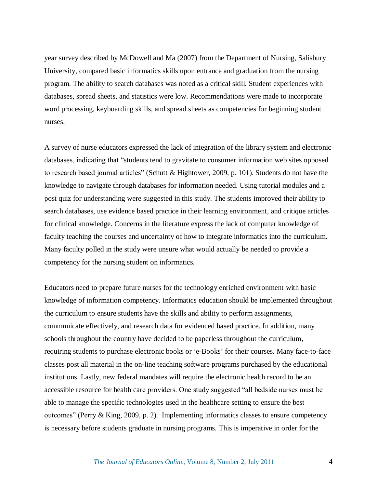year survey described by McDowell and Ma (2007) from the Department of Nursing, Salisbury University, compared basic informatics skills upon entrance and graduation from the nursing program. The ability to search databases was noted as a critical skill. Student experiences with databases, spread sheets, and statistics were low. Recommendations were made to incorporate word processing, keyboarding skills, and spread sheets as competencies for beginning student nurses.

A survey of nurse educators expressed the lack of integration of the library system and electronic databases, indicating that "students tend to gravitate to consumer information web sites opposed to research based journal articles" (Schutt & Hightower, 2009, p. 101). Students do not have the knowledge to navigate through databases for information needed. Using tutorial modules and a post quiz for understanding were suggested in this study. The students improved their ability to search databases, use evidence based practice in their learning environment, and critique articles for clinical knowledge. Concerns in the literature express the lack of computer knowledge of faculty teaching the courses and uncertainty of how to integrate informatics into the curriculum. Many faculty polled in the study were unsure what would actually be needed to provide a competency for the nursing student on informatics.

Educators need to prepare future nurses for the technology enriched environment with basic knowledge of information competency. Informatics education should be implemented throughout the curriculum to ensure students have the skills and ability to perform assignments, communicate effectively, and research data for evidenced based practice. In addition, many schools throughout the country have decided to be paperless throughout the curriculum, requiring students to purchase electronic books or "e-Books" for their courses. Many face-to-face classes post all material in the on-line teaching software programs purchased by the educational institutions. Lastly, new federal mandates will require the electronic health record to be an accessible resource for health care providers. One study suggested "all bedside nurses must be able to manage the specific technologies used in the healthcare setting to ensure the best outcomes" (Perry & King, 2009, p. 2). Implementing informatics classes to ensure competency is necessary before students graduate in nursing programs. This is imperative in order for the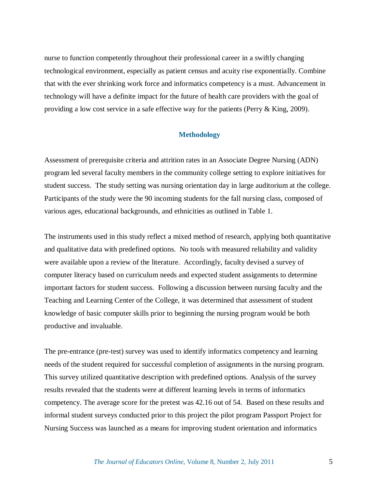nurse to function competently throughout their professional career in a swiftly changing technological environment, especially as patient census and acuity rise exponentially. Combine that with the ever shrinking work force and informatics competency is a must. Advancement in technology will have a definite impact for the future of health care providers with the goal of providing a low cost service in a safe effective way for the patients (Perry & King, 2009).

#### **Methodology**

Assessment of prerequisite criteria and attrition rates in an Associate Degree Nursing (ADN) program led several faculty members in the community college setting to explore initiatives for student success. The study setting was nursing orientation day in large auditorium at the college. Participants of the study were the 90 incoming students for the fall nursing class, composed of various ages, educational backgrounds, and ethnicities as outlined in Table 1.

The instruments used in this study reflect a mixed method of research, applying both quantitative and qualitative data with predefined options. No tools with measured reliability and validity were available upon a review of the literature. Accordingly, faculty devised a survey of computer literacy based on curriculum needs and expected student assignments to determine important factors for student success. Following a discussion between nursing faculty and the Teaching and Learning Center of the College, it was determined that assessment of student knowledge of basic computer skills prior to beginning the nursing program would be both productive and invaluable.

The pre-entrance (pre-test) survey was used to identify informatics competency and learning needs of the student required for successful completion of assignments in the nursing program. This survey utilized quantitative description with predefined options. Analysis of the survey results revealed that the students were at different learning levels in terms of informatics competency. The average score for the pretest was 42.16 out of 54. Based on these results and informal student surveys conducted prior to this project the pilot program Passport Project for Nursing Success was launched as a means for improving student orientation and informatics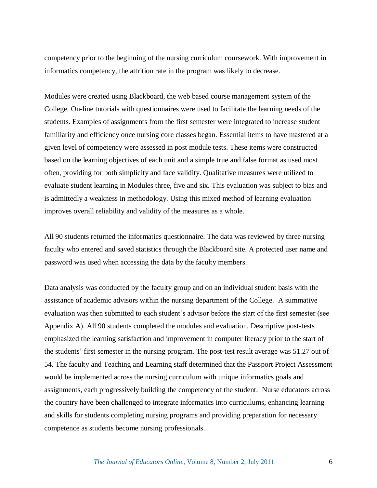competency prior to the beginning of the nursing curriculum coursework. With improvement in informatics competency, the attrition rate in the program was likely to decrease.

Modules were created using Blackboard, the web based course management system of the College. On-line tutorials with questionnaires were used to facilitate the learning needs of the students. Examples of assignments from the first semester were integrated to increase student familiarity and efficiency once nursing core classes began. Essential items to have mastered at a given level of competency were assessed in post module tests. These items were constructed based on the learning objectives of each unit and a simple true and false format as used most often, providing for both simplicity and face validity. Qualitative measures were utilized to evaluate student learning in Modules three, five and six. This evaluation was subject to bias and is admittedly a weakness in methodology. Using this mixed method of learning evaluation improves overall reliability and validity of the measures as a whole.

All 90 students returned the informatics questionnaire. The data was reviewed by three nursing faculty who entered and saved statistics through the Blackboard site. A protected user name and password was used when accessing the data by the faculty members.

Data analysis was conducted by the faculty group and on an individual student basis with the assistance of academic advisors within the nursing department of the College. A summative evaluation was then submitted to each student"s advisor before the start of the first semester (see Appendix A). All 90 students completed the modules and evaluation. Descriptive post-tests emphasized the learning satisfaction and improvement in computer literacy prior to the start of the students" first semester in the nursing program. The post-test result average was 51.27 out of 54. The faculty and Teaching and Learning staff determined that the Passport Project Assessment would be implemented across the nursing curriculum with unique informatics goals and assignments, each progressively building the competency of the student. Nurse educators across the country have been challenged to integrate informatics into curriculums, enhancing learning and skills for students completing nursing programs and providing preparation for necessary competence as students become nursing professionals.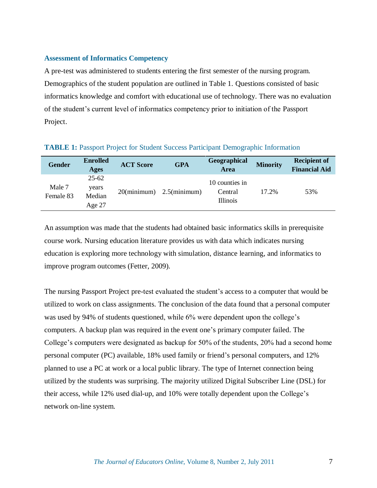# **Assessment of Informatics Competency**

A pre-test was administered to students entering the first semester of the nursing program. Demographics of the student population are outlined in Table 1. Questions consisted of basic informatics knowledge and comfort with educational use of technology. There was no evaluation of the student"s current level of informatics competency prior to initiation of the Passport Project.

| <b>Gender</b>       | <b>Enrolled</b><br>Ages                | <b>ACT Score</b> | <b>GPA</b>      | Geographical<br><b>Area</b>                  | <b>Minority</b> | <b>Recipient of</b><br><b>Financial Aid</b> |
|---------------------|----------------------------------------|------------------|-----------------|----------------------------------------------|-----------------|---------------------------------------------|
| Male 7<br>Female 83 | $25 - 62$<br>years<br>Median<br>Age 27 | $20$ (minimum)   | $2.5$ (minimum) | 10 counties in<br>Central<br><b>Illinois</b> | 17.2%           | 53%                                         |

## **TABLE 1:** Passport Project for Student Success Participant Demographic Information

An assumption was made that the students had obtained basic informatics skills in prerequisite course work. Nursing education literature provides us with data which indicates nursing education is exploring more technology with simulation, distance learning, and informatics to improve program outcomes (Fetter, 2009).

The nursing Passport Project pre-test evaluated the student's access to a computer that would be utilized to work on class assignments. The conclusion of the data found that a personal computer was used by 94% of students questioned, while 6% were dependent upon the college's computers. A backup plan was required in the event one"s primary computer failed. The College"s computers were designated as backup for 50% of the students, 20% had a second home personal computer (PC) available, 18% used family or friend"s personal computers, and 12% planned to use a PC at work or a local public library. The type of Internet connection being utilized by the students was surprising. The majority utilized Digital Subscriber Line (DSL) for their access, while 12% used dial-up, and 10% were totally dependent upon the College"s network on-line system.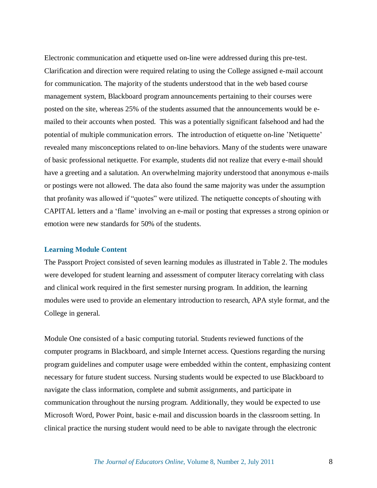Electronic communication and etiquette used on-line were addressed during this pre-test. Clarification and direction were required relating to using the College assigned e-mail account for communication. The majority of the students understood that in the web based course management system, Blackboard program announcements pertaining to their courses were posted on the site, whereas 25% of the students assumed that the announcements would be emailed to their accounts when posted. This was a potentially significant falsehood and had the potential of multiple communication errors. The introduction of etiquette on-line 'Netiquette' revealed many misconceptions related to on-line behaviors. Many of the students were unaware of basic professional netiquette. For example, students did not realize that every e-mail should have a greeting and a salutation. An overwhelming majority understood that anonymous e-mails or postings were not allowed. The data also found the same majority was under the assumption that profanity was allowed if "quotes" were utilized. The netiquette concepts of shouting with CAPITAL letters and a "flame" involving an e-mail or posting that expresses a strong opinion or emotion were new standards for 50% of the students.

#### **Learning Module Content**

The Passport Project consisted of seven learning modules as illustrated in Table 2. The modules were developed for student learning and assessment of computer literacy correlating with class and clinical work required in the first semester nursing program. In addition, the learning modules were used to provide an elementary introduction to research, APA style format, and the College in general.

Module One consisted of a basic computing tutorial. Students reviewed functions of the computer programs in Blackboard, and simple Internet access. Questions regarding the nursing program guidelines and computer usage were embedded within the content, emphasizing content necessary for future student success. Nursing students would be expected to use Blackboard to navigate the class information, complete and submit assignments, and participate in communication throughout the nursing program. Additionally, they would be expected to use Microsoft Word, Power Point, basic e-mail and discussion boards in the classroom setting. In clinical practice the nursing student would need to be able to navigate through the electronic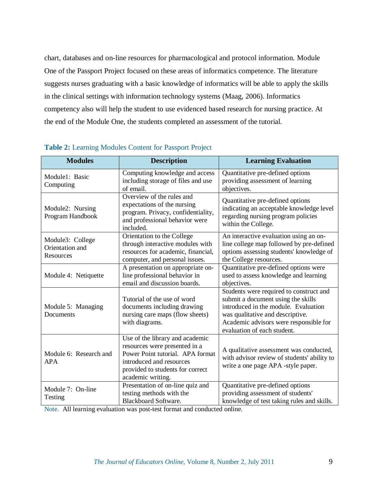chart, databases and on-line resources for pharmacological and protocol information. Module One of the Passport Project focused on these areas of informatics competence. The literature suggests nurses graduating with a basic knowledge of informatics will be able to apply the skills in the clinical settings with information technology systems (Maag, 2006). Informatics competency also will help the student to use evidenced based research for nursing practice. At the end of the Module One, the students completed an assessment of the tutorial.

| <b>Modules</b>                                   | <b>Description</b>                                                                                                                                                                        | <b>Learning Evaluation</b>                                                                                                                                                                                                         |  |
|--------------------------------------------------|-------------------------------------------------------------------------------------------------------------------------------------------------------------------------------------------|------------------------------------------------------------------------------------------------------------------------------------------------------------------------------------------------------------------------------------|--|
| Module1: Basic<br>Computing                      | Computing knowledge and access<br>including storage of files and use<br>of email.                                                                                                         | Quantitative pre-defined options<br>providing assessment of learning<br>objectives.                                                                                                                                                |  |
| Module2: Nursing<br>Program Handbook             | Overview of the rules and<br>expectations of the nursing<br>program. Privacy, confidentiality,<br>and professional behavior were<br>included.                                             | Quantitative pre-defined options<br>indicating an acceptable knowledge level<br>regarding nursing program policies<br>within the College.                                                                                          |  |
| Module3: College<br>Orientation and<br>Resources | Orientation to the College<br>through interactive modules with<br>resources for academic, financial,<br>computer, and personal issues.                                                    | An interactive evaluation using an on-<br>line college map followed by pre-defined<br>options assessing students' knowledge of<br>the College resources.                                                                           |  |
| Module 4: Netiquette                             | A presentation on appropriate on-<br>line professional behavior in<br>email and discussion boards.                                                                                        | Quantitative pre-defined options were<br>used to assess knowledge and learning<br>objectives.                                                                                                                                      |  |
| Module 5: Managing<br>Documents                  | Tutorial of the use of word<br>documents including drawing<br>nursing care maps (flow sheets)<br>with diagrams.                                                                           | Students were required to construct and<br>submit a document using the skills<br>introduced in the module. Evaluation<br>was qualitative and descriptive.<br>Academic advisors were responsible for<br>evaluation of each student. |  |
| Module 6: Research and<br><b>APA</b>             | Use of the library and academic<br>resources were presented in a<br>Power Point tutorial. APA format<br>introduced and resources<br>provided to students for correct<br>academic writing. | A qualitative assessment was conducted,<br>with advisor review of students' ability to<br>write a one page APA -style paper.                                                                                                       |  |
| Module 7: On-line<br>Testing                     | Presentation of on-line quiz and<br>testing methods with the<br><b>Blackboard Software.</b>                                                                                               | Quantitative pre-defined options<br>providing assessment of students'<br>knowledge of test taking rules and skills.                                                                                                                |  |

# **Table 2:** Learning Modules Content for Passport Project

Note. All learning evaluation was post-test format and conducted online.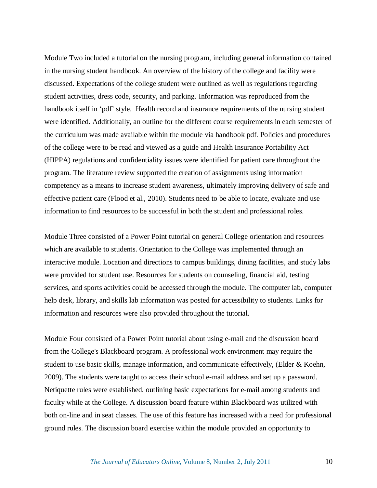Module Two included a tutorial on the nursing program, including general information contained in the nursing student handbook. An overview of the history of the college and facility were discussed. Expectations of the college student were outlined as well as regulations regarding student activities, dress code, security, and parking. Information was reproduced from the handbook itself in 'pdf' style. Health record and insurance requirements of the nursing student were identified. Additionally, an outline for the different course requirements in each semester of the curriculum was made available within the module via handbook pdf. Policies and procedures of the college were to be read and viewed as a guide and Health Insurance Portability Act (HIPPA) regulations and confidentiality issues were identified for patient care throughout the program. The literature review supported the creation of assignments using information competency as a means to increase student awareness, ultimately improving delivery of safe and effective patient care (Flood et al., 2010). Students need to be able to locate, evaluate and use information to find resources to be successful in both the student and professional roles.

Module Three consisted of a Power Point tutorial on general College orientation and resources which are available to students. Orientation to the College was implemented through an interactive module. Location and directions to campus buildings, dining facilities, and study labs were provided for student use. Resources for students on counseling, financial aid, testing services, and sports activities could be accessed through the module. The computer lab, computer help desk, library, and skills lab information was posted for accessibility to students. Links for information and resources were also provided throughout the tutorial.

Module Four consisted of a Power Point tutorial about using e-mail and the discussion board from the College's Blackboard program. A professional work environment may require the student to use basic skills, manage information, and communicate effectively, (Elder  $\&$  Koehn, 2009). The students were taught to access their school e-mail address and set up a password. Netiquette rules were established, outlining basic expectations for e-mail among students and faculty while at the College. A discussion board feature within Blackboard was utilized with both on-line and in seat classes. The use of this feature has increased with a need for professional ground rules. The discussion board exercise within the module provided an opportunity to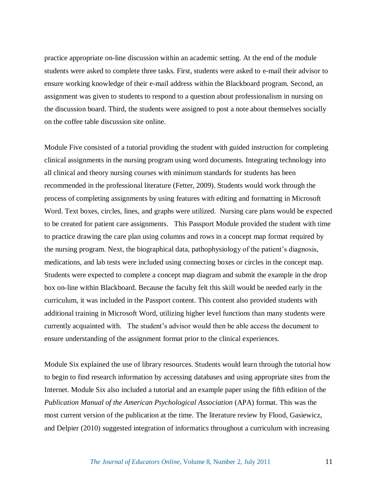practice appropriate on-line discussion within an academic setting. At the end of the module students were asked to complete three tasks. First, students were asked to e-mail their advisor to ensure working knowledge of their e-mail address within the Blackboard program. Second, an assignment was given to students to respond to a question about professionalism in nursing on the discussion board. Third, the students were assigned to post a note about themselves socially on the coffee table discussion site online.

Module Five consisted of a tutorial providing the student with guided instruction for completing clinical assignments in the nursing program using word documents. Integrating technology into all clinical and theory nursing courses with minimum standards for students has been recommended in the professional literature (Fetter, 2009). Students would work through the process of completing assignments by using features with editing and formatting in Microsoft Word. Text boxes, circles, lines, and graphs were utilized. Nursing care plans would be expected to be created for patient care assignments. This Passport Module provided the student with time to practice drawing the care plan using columns and rows in a concept map format required by the nursing program. Next, the biographical data, pathophysiology of the patient"s diagnosis, medications, and lab tests were included using connecting boxes or circles in the concept map. Students were expected to complete a concept map diagram and submit the example in the drop box on-line within Blackboard. Because the faculty felt this skill would be needed early in the curriculum, it was included in the Passport content. This content also provided students with additional training in Microsoft Word, utilizing higher level functions than many students were currently acquainted with. The student"s advisor would then be able access the document to ensure understanding of the assignment format prior to the clinical experiences.

Module Six explained the use of library resources. Students would learn through the tutorial how to begin to find research information by accessing databases and using appropriate sites from the Internet. Module Six also included a tutorial and an example paper using the fifth edition of the *Publication Manual of the American Psychological Association* (APA) format. This was the most current version of the publication at the time. The literature review by Flood, Gasiewicz, and Delpier (2010) suggested integration of informatics throughout a curriculum with increasing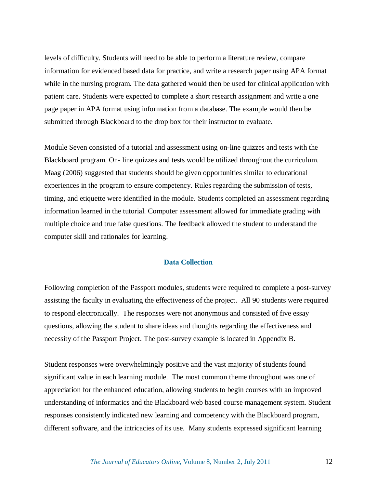levels of difficulty. Students will need to be able to perform a literature review, compare information for evidenced based data for practice, and write a research paper using APA format while in the nursing program. The data gathered would then be used for clinical application with patient care. Students were expected to complete a short research assignment and write a one page paper in APA format using information from a database. The example would then be submitted through Blackboard to the drop box for their instructor to evaluate.

Module Seven consisted of a tutorial and assessment using on-line quizzes and tests with the Blackboard program. On- line quizzes and tests would be utilized throughout the curriculum. Maag (2006) suggested that students should be given opportunities similar to educational experiences in the program to ensure competency. Rules regarding the submission of tests, timing, and etiquette were identified in the module. Students completed an assessment regarding information learned in the tutorial. Computer assessment allowed for immediate grading with multiple choice and true false questions. The feedback allowed the student to understand the computer skill and rationales for learning.

# **Data Collection**

Following completion of the Passport modules, students were required to complete a post-survey assisting the faculty in evaluating the effectiveness of the project. All 90 students were required to respond electronically. The responses were not anonymous and consisted of five essay questions, allowing the student to share ideas and thoughts regarding the effectiveness and necessity of the Passport Project. The post-survey example is located in Appendix B.

Student responses were overwhelmingly positive and the vast majority of students found significant value in each learning module. The most common theme throughout was one of appreciation for the enhanced education, allowing students to begin courses with an improved understanding of informatics and the Blackboard web based course management system. Student responses consistently indicated new learning and competency with the Blackboard program, different software, and the intricacies of its use. Many students expressed significant learning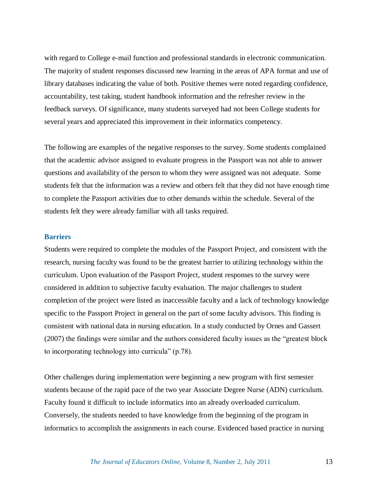with regard to College e-mail function and professional standards in electronic communication. The majority of student responses discussed new learning in the areas of APA format and use of library databases indicating the value of both. Positive themes were noted regarding confidence, accountability, test taking, student handbook information and the refresher review in the feedback surveys. Of significance, many students surveyed had not been College students for several years and appreciated this improvement in their informatics competency.

The following are examples of the negative responses to the survey. Some students complained that the academic advisor assigned to evaluate progress in the Passport was not able to answer questions and availability of the person to whom they were assigned was not adequate. Some students felt that the information was a review and others felt that they did not have enough time to complete the Passport activities due to other demands within the schedule. Several of the students felt they were already familiar with all tasks required.

# **Barriers**

Students were required to complete the modules of the Passport Project, and consistent with the research, nursing faculty was found to be the greatest barrier to utilizing technology within the curriculum. Upon evaluation of the Passport Project, student responses to the survey were considered in addition to subjective faculty evaluation. The major challenges to student completion of the project were listed as inaccessible faculty and a lack of technology knowledge specific to the Passport Project in general on the part of some faculty advisors. This finding is consistent with national data in nursing education. In a study conducted by Ornes and Gassert (2007) the findings were similar and the authors considered faculty issues as the "greatest block to incorporating technology into curricula" (p.78).

Other challenges during implementation were beginning a new program with first semester students because of the rapid pace of the two year Associate Degree Nurse (ADN) curriculum. Faculty found it difficult to include informatics into an already overloaded curriculum. Conversely, the students needed to have knowledge from the beginning of the program in informatics to accomplish the assignments in each course. Evidenced based practice in nursing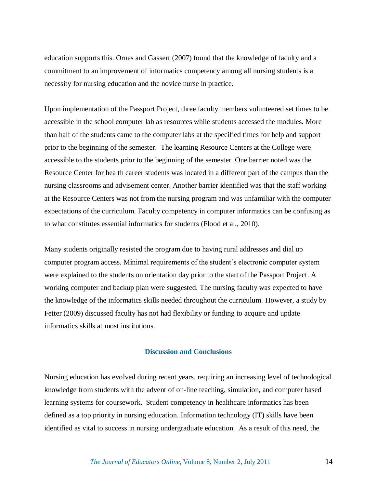education supports this. Ornes and Gassert (2007) found that the knowledge of faculty and a commitment to an improvement of informatics competency among all nursing students is a necessity for nursing education and the novice nurse in practice.

Upon implementation of the Passport Project, three faculty members volunteered set times to be accessible in the school computer lab as resources while students accessed the modules. More than half of the students came to the computer labs at the specified times for help and support prior to the beginning of the semester. The learning Resource Centers at the College were accessible to the students prior to the beginning of the semester. One barrier noted was the Resource Center for health career students was located in a different part of the campus than the nursing classrooms and advisement center. Another barrier identified was that the staff working at the Resource Centers was not from the nursing program and was unfamiliar with the computer expectations of the curriculum. Faculty competency in computer informatics can be confusing as to what constitutes essential informatics for students (Flood et al., 2010).

Many students originally resisted the program due to having rural addresses and dial up computer program access. Minimal requirements of the student"s electronic computer system were explained to the students on orientation day prior to the start of the Passport Project. A working computer and backup plan were suggested. The nursing faculty was expected to have the knowledge of the informatics skills needed throughout the curriculum. However, a study by Fetter (2009) discussed faculty has not had flexibility or funding to acquire and update informatics skills at most institutions.

### **Discussion and Conclusions**

Nursing education has evolved during recent years, requiring an increasing level of technological knowledge from students with the advent of on-line teaching, simulation, and computer based learning systems for coursework. Student competency in healthcare informatics has been defined as a top priority in nursing education. Information technology (IT) skills have been identified as vital to success in nursing undergraduate education. As a result of this need, the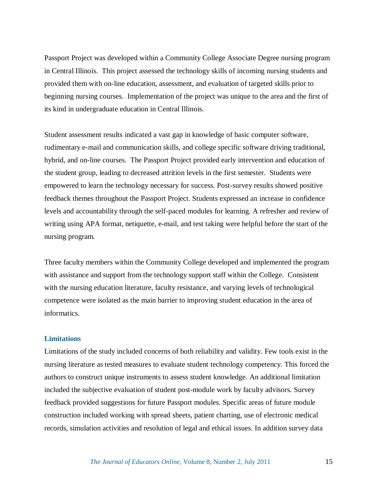Passport Project was developed within a Community College Associate Degree nursing program in Central Illinois. This project assessed the technology skills of incoming nursing students and provided them with on-line education, assessment, and evaluation of targeted skills prior to beginning nursing courses. Implementation of the project was unique to the area and the first of its kind in undergraduate education in Central Illinois.

Student assessment results indicated a vast gap in knowledge of basic computer software, rudimentary e-mail and communication skills, and college specific software driving traditional, hybrid, and on-line courses. The Passport Project provided early intervention and education of the student group, leading to decreased attrition levels in the first semester. Students were empowered to learn the technology necessary for success. Post-survey results showed positive feedback themes throughout the Passport Project. Students expressed an increase in confidence levels and accountability through the self-paced modules for learning. A refresher and review of writing using APA format, netiquette, e-mail, and test taking were helpful before the start of the nursing program.

Three faculty members within the Community College developed and implemented the program with assistance and support from the technology support staff within the College. Consistent with the nursing education literature, faculty resistance, and varying levels of technological competence were isolated as the main barrier to improving student education in the area of informatics.

## **Limitations**

Limitations of the study included concerns of both reliability and validity. Few tools exist in the nursing literature as tested measures to evaluate student technology competency. This forced the authors to construct unique instruments to assess student knowledge. An additional limitation included the subjective evaluation of student post-module work by faculty advisors. Survey feedback provided suggestions for future Passport modules. Specific areas of future module construction included working with spread sheets, patient charting, use of electronic medical records, simulation activities and resolution of legal and ethical issues. In addition survey data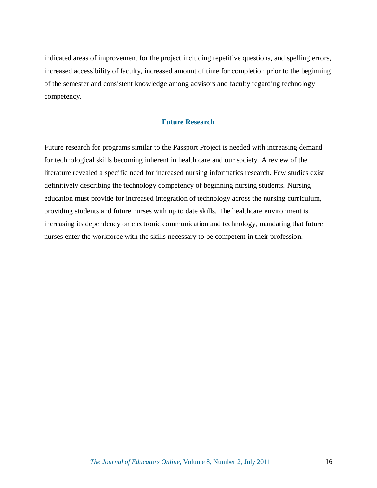indicated areas of improvement for the project including repetitive questions, and spelling errors, increased accessibility of faculty, increased amount of time for completion prior to the beginning of the semester and consistent knowledge among advisors and faculty regarding technology competency.

# **Future Research**

Future research for programs similar to the Passport Project is needed with increasing demand for technological skills becoming inherent in health care and our society. A review of the literature revealed a specific need for increased nursing informatics research. Few studies exist definitively describing the technology competency of beginning nursing students. Nursing education must provide for increased integration of technology across the nursing curriculum, providing students and future nurses with up to date skills. The healthcare environment is increasing its dependency on electronic communication and technology, mandating that future nurses enter the workforce with the skills necessary to be competent in their profession.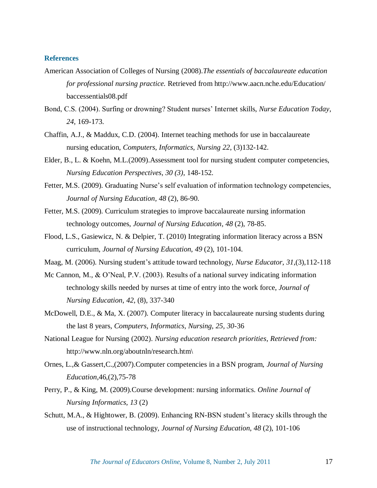## **References**

- American Association of Colleges of Nursing (2008).*The essentials of baccalaureate education for professional nursing practice.* Retrieved from http://www.aacn.nche.edu/Education/ baccessentials08.pdf
- Bond, C.S. (2004). Surfing or drowning? Student nurses" Internet skills, *Nurse Education Today*, *24*, 169-173.
- Chaffin, A.J., & Maddux, C.D. (2004). Internet teaching methods for use in baccalaureate nursing education, *Computers, Informatics, Nursing 22*, (3)132-142.
- Elder, B., L. & Koehn, M.L.(2009).Assessment tool for nursing student computer competencies, *Nursing Education Perspectives*, *30 (3)*, 148-152.
- Fetter, M.S. (2009). Graduating Nurse's self evaluation of information technology competencies, *Journal of Nursing Education, 48* (2), 86-90.
- Fetter, M.S. (2009). Curriculum strategies to improve baccalaureate nursing information technology outcomes, *Journal of Nursing Education, 48* (2), 78-85.
- Flood, L.S., Gasiewicz, N. & Delpier, T. (2010) Integrating information literacy across a BSN curriculum, *Journal of Nursing Education*, *49* (2), 101-104.
- Maag, M. (2006). Nursing student"s attitude toward technology, *Nurse Educator*, *31*,(3),112-118
- Mc Cannon, M., & O'Neal, P.V. (2003). Results of a national survey indicating information technology skills needed by nurses at time of entry into the work force, *Journal of Nursing Education*, *42*, (8), 337-340
- McDowell, D.E., & Ma, X. (2007). Computer literacy in baccalaureate nursing students during the last 8 years, *Computers, Informatics, Nursing, 25, 30*-36
- National League for Nursing (2002). *Nursing education research priorities, Retrieved from:* http://www.nln.org/aboutnln/research.htm\
- Ornes, L.,& Gassert,C.,(2007).Computer competencies in a BSN program, *Journal of Nursing Education*,46,(2),75-78
- Perry, P., & King, M. (2009).Course development: nursing informatics. *Online Journal of Nursing Informatics, 13* (2)
- Schutt, M.A., & Hightower, B. (2009). Enhancing RN-BSN student's literacy skills through the use of instructional technology, *Journal of Nursing Education*, *48* (2), 101-106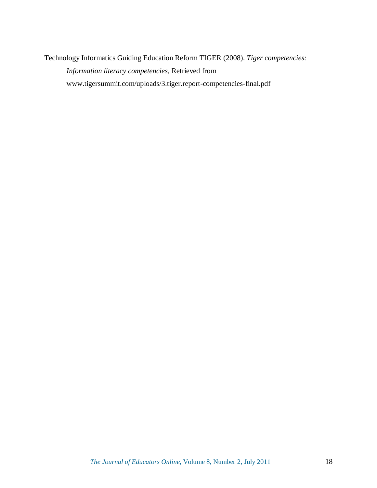Technology Informatics Guiding Education Reform TIGER (2008). *Tiger competencies: Information literacy competencies,* Retrieved from www.tigersummit.com/uploads/3.tiger.report-competencies-final.pdf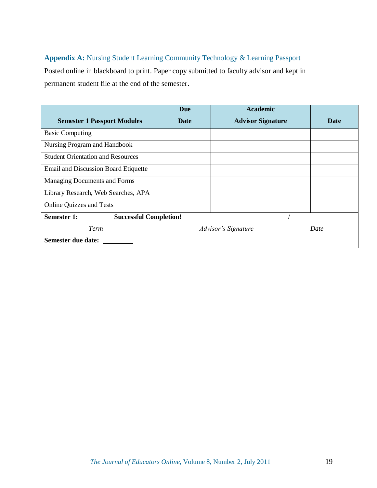# **Appendix A:** Nursing Student Learning Community Technology & Learning Passport

Posted online in blackboard to print. Paper copy submitted to faculty advisor and kept in permanent student file at the end of the semester.

|                                             | <b>Due</b>                 | <b>Academic</b>          |      |  |  |  |
|---------------------------------------------|----------------------------|--------------------------|------|--|--|--|
| <b>Semester 1 Passport Modules</b>          | Date                       | <b>Advisor Signature</b> | Date |  |  |  |
| <b>Basic Computing</b>                      |                            |                          |      |  |  |  |
| Nursing Program and Handbook                |                            |                          |      |  |  |  |
| <b>Student Orientation and Resources</b>    |                            |                          |      |  |  |  |
| <b>Email and Discussion Board Etiquette</b> |                            |                          |      |  |  |  |
| Managing Documents and Forms                |                            |                          |      |  |  |  |
| Library Research, Web Searches, APA         |                            |                          |      |  |  |  |
| <b>Online Quizzes and Tests</b>             |                            |                          |      |  |  |  |
| Semester 1: Successful Completion!          |                            |                          |      |  |  |  |
| Term                                        | <b>Advisor's Signature</b> |                          | Date |  |  |  |
| Semester due date:                          |                            |                          |      |  |  |  |